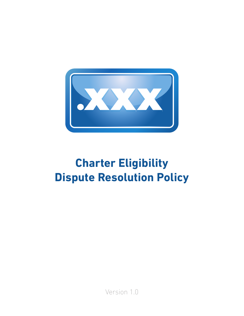

# **Charter Eligibility Dispute Resolution Policy**

Version 1.0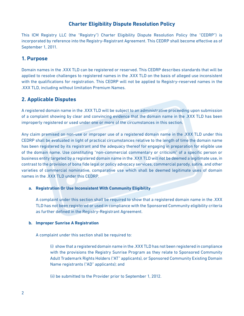# **Charter Eligibility Dispute Resolution Policy**

This ICM Registry LLC (the "Registry") Charter Eligibility Dispute Resolution Policy (the "CEDRP") is incorporated by reference into the Registry-Registrant Agreement. This CEDRP shall become effective as of September 1, 2011.

## **1. Purpose**

Domain names in the .XXX TLD can be registered or reserved. This CEDRP describes standards that will be applied to resolve challenges to registered names in the .XXX TLD on the basis of alleged use inconsistent with the qualifications for registration. This CEDRP will not be applied to Registry-reserved names in the .XXX TLD, including without limitation Premium Names.

# **2. Applicable Disputes**

A registered domain name in the .XXX TLD will be subject to an administrative proceeding upon submission of a complaint showing by clear and convincing evidence that the domain name in the .XXX TLD has been improperly registered or used under one or more of the circumstances in this section.

Any claim premised on non-use or improper use of a registered domain name in the .XXX TLD under this CEDRP shall be evaluated in light of practical circumstances relative to the length of time the domain name has been registered by its registrant and the adequacy thereof for engaging in preparation for eligible use of the domain name. Use constituting "non-commercial commentary or criticism" of a specific person or business entity targeted by a registered domain name in the .XXX TLD will not be deemed a legitimate use, in contrast to the provision of bona fide legal or policy advocacy services, commercial parody, satire, and other varieties of commercial nominative, comparative use which shall be deemed legitimate uses of domain names in the .XXX TLD under this CEDRP.

## **a. Registration Or Use Inconsistent With Community Eligibility**

A complaint under this section shall be required to show that a registered domain name in the .XXX TLD has not been registered or used in compliance with the Sponsored Community eligibility criteria as further defined in the Registry-Registrant Agreement.

## **b. Improper Sunrise A Registration**

A complaint under this section shall be required to:

(i) show that a registered domain name in the .XXX TLD has not been registered in compliance with the provisions the Registry Sunrise Program as they relate to Sponsored Community Adult Trademark Rights Holders ("AT" applicants), or Sponsored Community Existing Domain Name registrants ("AD" applicants); and

(ii) be submitted to the Provider prior to September 1, 2012.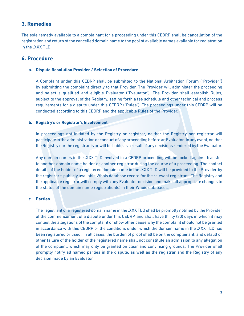## **3. Remedies**

The sole remedy available to a complainant for a proceeding under this CEDRP shall be cancellation of the registration and return of the cancelled domain name to the pool of available names available for registration in the .XXX TLD.

## **4. Procedure**

#### **a. Dispute Resolution Provider / Selection of Procedure**

A Complaint under this CEDRP shall be submitted to the National Arbitration Forum ("Provider") by submitting the complaint directly to that Provider. The Provider will administer the proceeding and select a qualified and eligible Evaluator ("Evaluator"). The Provider shall establish Rules, subject to the approval of the Registry, setting forth a fee schedule and other technical and process requirements for a dispute under this CEDRP ("Rules"). The proceedings under this CEDRP will be conducted according to this CEDRP and the applicable Rules of the Provider.

#### **b. Registry's or Registrar's Involvement**

In proceedings not initiated by the Registry or registrar, neither the Registry nor registrar will participate in the administration or conduct of any proceeding before an Evaluator. In any event, neither the Registry nor the registrar is or will be liable as a result of any decisions rendered by the Evaluator.

Any domain names in the .XXX TLD involved in a CEDRP proceeding will be locked against transfer to another domain name holder or another registrar during the course of a proceeding. The contact details of the holder of a registered domain name in the .XXX TLD will be provided to the Provider by the registrar's publicly available Whois database record for the relevant registrant. The Registry and the applicable registrar will comply with any Evaluator decision and make all appropriate changes to the status of the domain name registration(s) in their Whois databases.

#### **c. Parties**

The registrant of a registered domain name in the .XXX TLD shall be promptly notified by the Provider of the commencement of a dispute under this CEDRP, and shall have thirty (30) days in which it may contest the allegations of the complaint or show other cause why the complaint should not be granted in accordance with this CEDRP or the conditions under which the domain name in the .XXX TLD has been registered or used. In all cases, the burden of proof shall be on the complainant, and default or other failure of the holder of the registered name shall not constitute an admission to any allegation of the complaint, which may only be granted on clear and convincing grounds. The Provider shall promptly notify all named parties in the dispute, as well as the registrar and the Registry of any decision made by an Evaluator.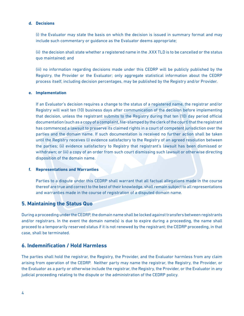#### **d. Decisions**

(i) the Evaluator may state the basis on which the decision is issued in summary format and may include such commentary or guidance as the Evaluator deems appropriate;

(ii) the decision shall state whether a registered name in the .XXX TLD is to be cancelled or the status quo maintained; and

(iii) no information regarding decisions made under this CEDRP will be publicly published by the Registry, the Provider or the Evaluator; only aggregate statistical information about the CEDRP process itself, including decision percentages, may be published by the Registry and/or Provider.

#### **e. Implementation**

If an Evaluator's decision requires a change to the status of a registered name, the registrar and/or Registry will wait ten (10) business days after communication of the decision before implementing that decision, unless the registrant submits to the Registry during that ten (10) day period official documentation (such as a copy of a complaint, file-stamped by the clerk of the court) that the registrant has commenced a lawsuit to preserve its claimed rights in a court of competent jurisdiction over the parties and the domain name. If such documentation is received no further action shall be taken until the Registry receives (i) evidence satisfactory to the Registry of an agreed resolution between the parties; (ii) evidence satisfactory to Registry that registrant's lawsuit has been dismissed or withdrawn; or (iii) a copy of an order from such court dismissing such lawsuit or otherwise directing disposition of the domain name.

#### **f. Representations and Warranties**

Parties to a dispute under this CEDRP shall warrant that all factual allegations made in the course thereof are true and correct to the best of their knowledge, shall remain subject to all representations and warranties made in the course of registration of a disputed domain name.

## **5. Maintaining the Status Quo**

During a proceeding under the CEDRP, the domain name shall be locked against transfers between registrants and/or registrars. In the event the domain name(s) is due to expire during a proceeding, the name shall proceed to a temporarily reserved status if it is not renewed by the registrant; the CEDRP proceeding, in that case, shall be terminated.

## **6. Indemnification / Hold Harmless**

The parties shall hold the registrar, the Registry, the Provider, and the Evaluator harmless from any claim arising from operation of the CEDRP. Neither party may name the registrar, the Registry, the Provider, or the Evaluator as a party or otherwise include the registrar, the Registry, the Provider, or the Evaluator in any judicial proceeding relating to the dispute or the administration of the CEDRP policy.